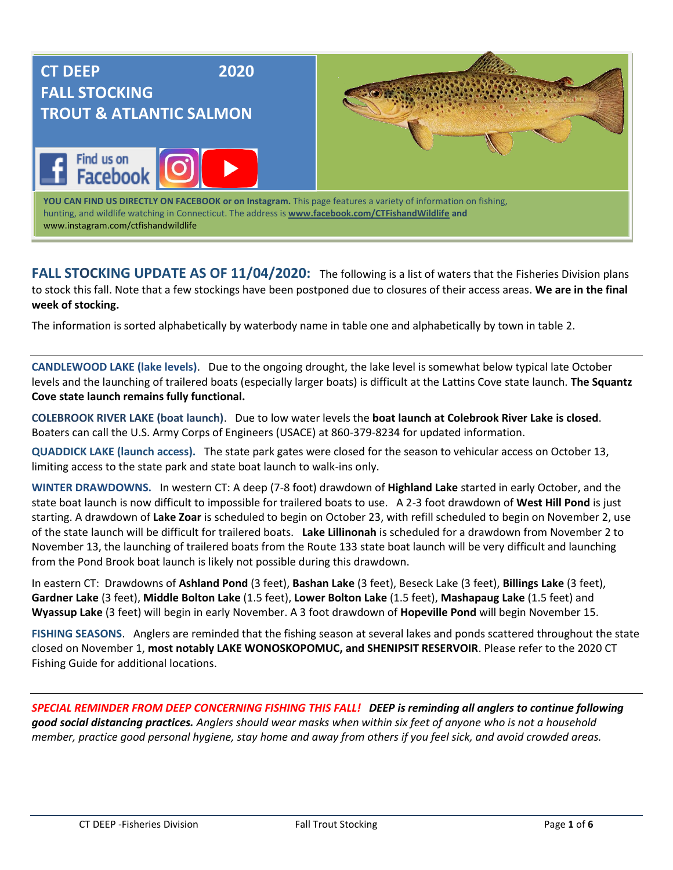

**FALL STOCKING UPDATE AS OF 11/04/2020:** The following is a list of waters that the Fisheries Division plans to stock this fall. Note that a few stockings have been postponed due to closures of their access areas. **We are in the final week of stocking.** 

The information is sorted alphabetically by waterbody name in table one and alphabetically by town in table 2.

**CANDLEWOOD LAKE (lake levels)**. Due to the ongoing drought, the lake level is somewhat below typical late October levels and the launching of trailered boats (especially larger boats) is difficult at the Lattins Cove state launch. **The Squantz Cove state launch remains fully functional.** 

**COLEBROOK RIVER LAKE (boat launch)**. Due to low water levels the **boat launch at Colebrook River Lake is closed**. Boaters can call the U.S. Army Corps of Engineers (USACE) at 860-379-8234 for updated information.

**QUADDICK LAKE (launch access).** The state park gates were closed for the season to vehicular access on October 13, limiting access to the state park and state boat launch to walk-ins only.

**WINTER DRAWDOWNS.** In western CT: A deep (7-8 foot) drawdown of **Highland Lake** started in early October, and the state boat launch is now difficult to impossible for trailered boats to use. A 2-3 foot drawdown of **West Hill Pond** is just starting. A drawdown of **Lake Zoar** is scheduled to begin on October 23, with refill scheduled to begin on November 2, use of the state launch will be difficult for trailered boats. **Lake Lillinonah** is scheduled for a drawdown from November 2 to November 13, the launching of trailered boats from the Route 133 state boat launch will be very difficult and launching from the Pond Brook boat launch is likely not possible during this drawdown.

In eastern CT: Drawdowns of **Ashland Pond** (3 feet), **Bashan Lake** (3 feet), Beseck Lake (3 feet), **Billings Lake** (3 feet), **Gardner Lake** (3 feet), **Middle Bolton Lake** (1.5 feet), **Lower Bolton Lake** (1.5 feet), **Mashapaug Lake** (1.5 feet) and **Wyassup Lake** (3 feet) will begin in early November. A 3 foot drawdown of **Hopeville Pond** will begin November 15.

**FISHING SEASONS**. Anglers are reminded that the fishing season at several lakes and ponds scattered throughout the state closed on November 1, **most notably LAKE WONOSKOPOMUC, and SHENIPSIT RESERVOIR**. Please refer to the 2020 CT Fishing Guide for additional locations.

*SPECIAL REMINDER FROM DEEP CONCERNING FISHING THIS FALL! DEEP is reminding all anglers to continue following good social distancing practices. Anglers should wear masks when within six feet of anyone who is not a household member, practice good personal hygiene, stay home and away from others if you feel sick, and avoid crowded areas.*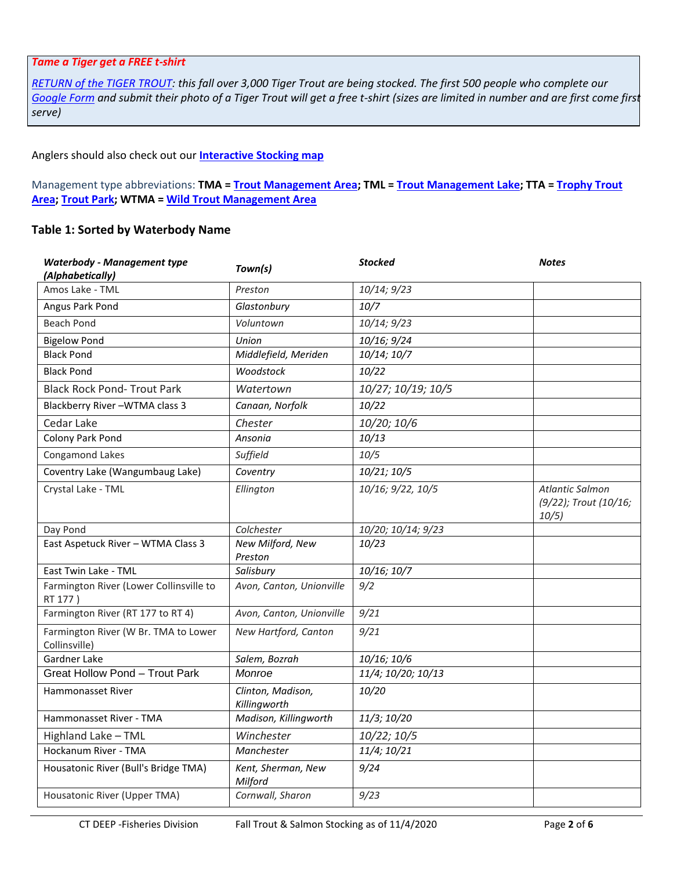## *Tame a Tiger get a FREE t-shirt*

*[RETURN of the TIGER TROUT:](https://portal.ct.gov/DEEP/Fishing/Return-of-the-Tiger-Trout) this fall over 3,000 Tiger Trout are being stocked. The first 500 people who complete our [Google Form](https://docs.google.com/forms/u/2/d/e/1FAIpQLScpG86mE4o77iKf9Hlr_Xvegu4HDOumNrsVptDPHAb_AzY7Vw/viewform?usp=sf_link) and submit their photo of a Tiger Trout will get a free t-shirt (sizes are limited in number and are first come first serve)*

## Anglers should also check out our **[Interactive Stocking map](https://ctdeep.maps.arcgis.com/apps/webappviewer/index.html?id=70d13bc033854b89a87c04b1d11b1a43)**

Management type abbreviations: **TMA [= Trout Management Area;](https://portal.ct.gov/DEEP/Fishing/Fisheries-Management/Trout-Management-Areas) TML = [Trout Management Lake;](https://portal.ct.gov/DEEP/Fishing/Fisheries-Management/Trout-Management-Lakes) TTA [= Trophy Trout](https://portal.ct.gov/DEEP/Fishing/Fisheries-Management/Trophy-Trout-Areas)  [Area;](https://portal.ct.gov/DEEP/Fishing/Fisheries-Management/Trophy-Trout-Areas) [Trout Park;](https://portal.ct.gov/DEEP/Fishing/General-Information/Trout-Parks) WTMA [= Wild Trout Management Area](https://portal.ct.gov/DEEP/Fishing/Fisheries-Management/Wild-Trout-Management-Areas)**

## **Table 1: Sorted by Waterbody Name**

| <b>Waterbody - Management type</b><br>(Alphabetically) | Town(s)                           | <b>Stocked</b>     | <b>Notes</b>                                      |
|--------------------------------------------------------|-----------------------------------|--------------------|---------------------------------------------------|
| Amos Lake - TML                                        | Preston                           | 10/14; 9/23        |                                                   |
| Angus Park Pond                                        | Glastonbury                       | 10/7               |                                                   |
| <b>Beach Pond</b>                                      | Voluntown                         | 10/14; 9/23        |                                                   |
| <b>Bigelow Pond</b>                                    | Union                             | 10/16; 9/24        |                                                   |
| <b>Black Pond</b>                                      | Middlefield, Meriden              | 10/14; 10/7        |                                                   |
| <b>Black Pond</b>                                      | Woodstock                         | 10/22              |                                                   |
| <b>Black Rock Pond- Trout Park</b>                     | Watertown                         | 10/27; 10/19; 10/5 |                                                   |
| Blackberry River-WTMA class 3                          | Canaan, Norfolk                   | 10/22              |                                                   |
| Cedar Lake                                             | Chester                           | 10/20; 10/6        |                                                   |
| Colony Park Pond                                       | Ansonia                           | 10/13              |                                                   |
| Congamond Lakes                                        | Suffield                          | 10/5               |                                                   |
| Coventry Lake (Wangumbaug Lake)                        | Coventry                          | 10/21; 10/5        |                                                   |
| Crystal Lake - TML                                     | Ellington                         | 10/16; 9/22, 10/5  | Atlantic Salmon<br>(9/22); Trout (10/16;<br>10/5) |
| Day Pond                                               | Colchester                        | 10/20; 10/14; 9/23 |                                                   |
| East Aspetuck River - WTMA Class 3                     | New Milford, New<br>Preston       | 10/23              |                                                   |
| East Twin Lake - TML                                   | Salisbury                         | 10/16; 10/7        |                                                   |
| Farmington River (Lower Collinsville to<br>RT 177)     | Avon, Canton, Unionville          | 9/2                |                                                   |
| Farmington River (RT 177 to RT 4)                      | Avon, Canton, Unionville          | 9/21               |                                                   |
| Farmington River (W Br. TMA to Lower<br>Collinsville)  | New Hartford, Canton              | 9/21               |                                                   |
| Gardner Lake                                           | Salem, Bozrah                     | 10/16; 10/6        |                                                   |
| <b>Great Hollow Pond - Trout Park</b>                  | Monroe                            | 11/4; 10/20; 10/13 |                                                   |
| <b>Hammonasset River</b>                               | Clinton, Madison,<br>Killingworth | 10/20              |                                                   |
| Hammonasset River - TMA                                | Madison, Killingworth             | 11/3; 10/20        |                                                   |
| Highland Lake - TML                                    | Winchester                        | 10/22; 10/5        |                                                   |
| Hockanum River - TMA                                   | Manchester                        | 11/4; 10/21        |                                                   |
| Housatonic River (Bull's Bridge TMA)                   | Kent, Sherman, New<br>Milford     | 9/24               |                                                   |
| Housatonic River (Upper TMA)                           | Cornwall, Sharon                  | 9/23               |                                                   |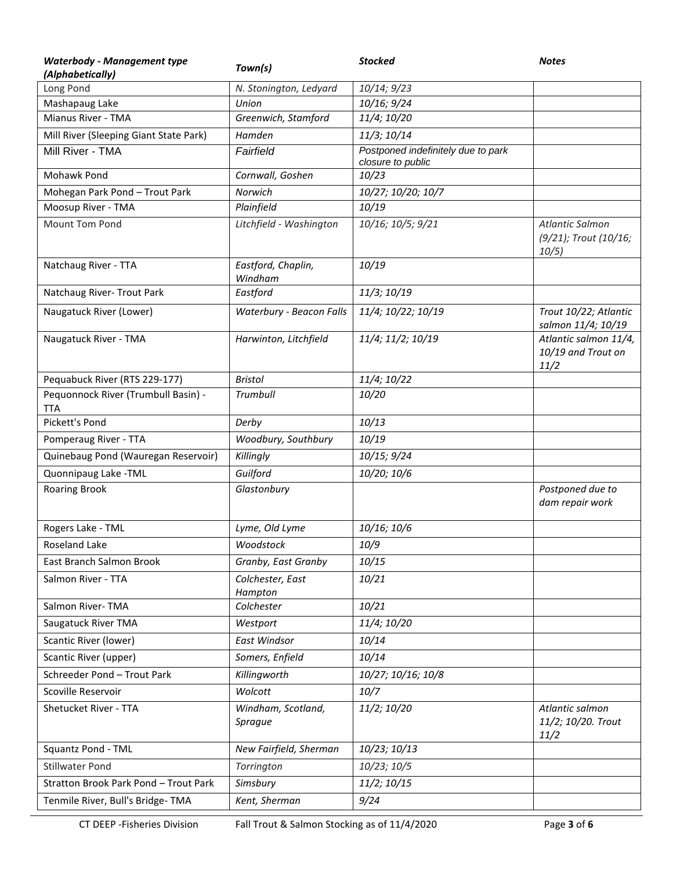| <b>Waterbody - Management type</b>                | Town(s)                       | <b>Stocked</b>                     | <b>Notes</b>                                        |
|---------------------------------------------------|-------------------------------|------------------------------------|-----------------------------------------------------|
| (Alphabetically)                                  |                               |                                    |                                                     |
| Long Pond                                         | N. Stonington, Ledyard        | 10/14; 9/23                        |                                                     |
| Mashapaug Lake<br>Mianus River - TMA              | Union<br>Greenwich, Stamford  | 10/16; 9/24<br>11/4; 10/20         |                                                     |
| Mill River (Sleeping Giant State Park)            | Hamden                        | 11/3; 10/14                        |                                                     |
| Mill River - TMA                                  | Fairfield                     | Postponed indefinitely due to park |                                                     |
|                                                   |                               | closure to public                  |                                                     |
| Mohawk Pond                                       | Cornwall, Goshen              | 10/23                              |                                                     |
| Mohegan Park Pond - Trout Park                    | Norwich                       | 10/27; 10/20; 10/7                 |                                                     |
| Moosup River - TMA                                | Plainfield                    | 10/19                              |                                                     |
| Mount Tom Pond                                    | Litchfield - Washington       | 10/16; 10/5; 9/21                  | Atlantic Salmon<br>(9/21); Trout (10/16;<br>10/5)   |
| Natchaug River - TTA                              | Eastford, Chaplin,<br>Windham | 10/19                              |                                                     |
| Natchaug River- Trout Park                        | Eastford                      | 11/3; 10/19                        |                                                     |
| Naugatuck River (Lower)                           | Waterbury - Beacon Falls      | 11/4; 10/22; 10/19                 | Trout 10/22; Atlantic<br>salmon 11/4; 10/19         |
| Naugatuck River - TMA                             | Harwinton, Litchfield         | 11/4; 11/2; 10/19                  | Atlantic salmon 11/4,<br>10/19 and Trout on<br>11/2 |
| Pequabuck River (RTS 229-177)                     | <b>Bristol</b>                | 11/4; 10/22                        |                                                     |
| Pequonnock River (Trumbull Basin) -<br><b>TTA</b> | Trumbull                      | 10/20                              |                                                     |
| Pickett's Pond                                    | Derby                         | 10/13                              |                                                     |
| Pomperaug River - TTA                             | Woodbury, Southbury           | 10/19                              |                                                     |
| Quinebaug Pond (Wauregan Reservoir)               | Killingly                     | 10/15; 9/24                        |                                                     |
| Quonnipaug Lake -TML                              | Guilford                      | 10/20; 10/6                        |                                                     |
| <b>Roaring Brook</b>                              | Glastonbury                   |                                    | Postponed due to<br>dam repair work                 |
| Rogers Lake - TML                                 | Lyme, Old Lyme                | 10/16; 10/6                        |                                                     |
| Roseland Lake                                     | Woodstock                     | 10/9                               |                                                     |
| East Branch Salmon Brook                          | Granby, East Granby           | 10/15                              |                                                     |
| Salmon River - TTA                                | Colchester, East<br>Hampton   | 10/21                              |                                                     |
| Salmon River-TMA                                  | Colchester                    | 10/21                              |                                                     |
| Saugatuck River TMA                               | Westport                      | 11/4; 10/20                        |                                                     |
| Scantic River (lower)                             | East Windsor                  | 10/14                              |                                                     |
| Scantic River (upper)                             | Somers, Enfield               | 10/14                              |                                                     |
| Schreeder Pond - Trout Park                       | Killingworth                  | 10/27; 10/16; 10/8                 |                                                     |
| Scoville Reservoir                                | Wolcott                       | 10/7                               |                                                     |
| Shetucket River - TTA                             | Windham, Scotland,<br>Sprague | 11/2; 10/20                        | Atlantic salmon<br>11/2; 10/20. Trout<br>11/2       |
| Squantz Pond - TML                                | New Fairfield, Sherman        | 10/23; 10/13                       |                                                     |
| <b>Stillwater Pond</b>                            | Torrington                    | 10/23; 10/5                        |                                                     |
| Stratton Brook Park Pond - Trout Park             | Simsbury                      | 11/2; 10/15                        |                                                     |
| Tenmile River, Bull's Bridge-TMA                  | Kent, Sherman                 | 9/24                               |                                                     |
|                                                   |                               |                                    |                                                     |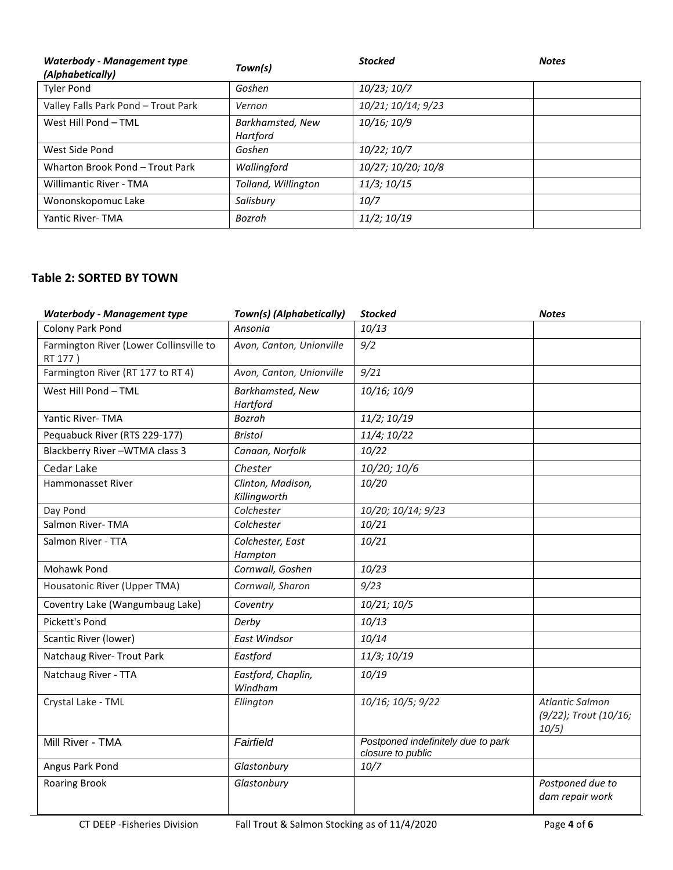| <b>Waterbody - Management type</b><br>(Alphabetically) | Town(s)                      | <b>Stocked</b>     | <b>Notes</b> |
|--------------------------------------------------------|------------------------------|--------------------|--------------|
| <b>Tyler Pond</b>                                      | Goshen                       | 10/23; 10/7        |              |
| Valley Falls Park Pond - Trout Park                    | Vernon                       | 10/21; 10/14; 9/23 |              |
| West Hill Pond - TML                                   | Barkhamsted, New<br>Hartford | 10/16; 10/9        |              |
| West Side Pond                                         | Goshen                       | 10/22; 10/7        |              |
| Wharton Brook Pond - Trout Park                        | Wallingford                  | 10/27; 10/20; 10/8 |              |
| <b>Willimantic River - TMA</b>                         | Tolland, Willington          | 11/3; 10/15        |              |
| Wononskopomuc Lake                                     | Salisbury                    | 10/7               |              |
| Yantic River-TMA                                       | Bozrah                       | 11/2; 10/19        |              |

## **Table 2: SORTED BY TOWN**

| <b>Waterbody - Management type</b>                 | Town(s) (Alphabetically)          | <b>Stocked</b>                                          | <b>Notes</b>                                      |
|----------------------------------------------------|-----------------------------------|---------------------------------------------------------|---------------------------------------------------|
| Colony Park Pond                                   | Ansonia                           | 10/13                                                   |                                                   |
| Farmington River (Lower Collinsville to<br>RT 177) | Avon, Canton, Unionville          | 9/2                                                     |                                                   |
| Farmington River (RT 177 to RT 4)                  | Avon, Canton, Unionville          | 9/21                                                    |                                                   |
| West Hill Pond - TML                               | Barkhamsted, New<br>Hartford      | 10/16; 10/9                                             |                                                   |
| Yantic River-TMA                                   | <b>Bozrah</b>                     | 11/2; 10/19                                             |                                                   |
| Pequabuck River (RTS 229-177)                      | <b>Bristol</b>                    | 11/4; 10/22                                             |                                                   |
| Blackberry River-WTMA class 3                      | Canaan, Norfolk                   | 10/22                                                   |                                                   |
| Cedar Lake                                         | Chester                           | 10/20; 10/6                                             |                                                   |
| <b>Hammonasset River</b>                           | Clinton, Madison,<br>Killingworth | 10/20                                                   |                                                   |
| Day Pond                                           | Colchester                        | 10/20; 10/14; 9/23                                      |                                                   |
| Salmon River-TMA                                   | Colchester                        | 10/21                                                   |                                                   |
| Salmon River - TTA                                 | Colchester, East<br>Hampton       | 10/21                                                   |                                                   |
| Mohawk Pond                                        | Cornwall, Goshen                  | 10/23                                                   |                                                   |
| Housatonic River (Upper TMA)                       | Cornwall, Sharon                  | 9/23                                                    |                                                   |
| Coventry Lake (Wangumbaug Lake)                    | Coventry                          | 10/21; 10/5                                             |                                                   |
| Pickett's Pond                                     | Derby                             | 10/13                                                   |                                                   |
| Scantic River (lower)                              | <b>East Windsor</b>               | 10/14                                                   |                                                   |
| Natchaug River- Trout Park                         | Eastford                          | 11/3; 10/19                                             |                                                   |
| Natchaug River - TTA                               | Eastford, Chaplin,<br>Windham     | 10/19                                                   |                                                   |
| Crystal Lake - TML                                 | Ellington                         | 10/16; 10/5; 9/22                                       | Atlantic Salmon<br>(9/22); Trout (10/16;<br>10/5) |
| Mill River - TMA                                   | Fairfield                         | Postponed indefinitely due to park<br>closure to public |                                                   |
| Angus Park Pond                                    | Glastonbury                       | 10/7                                                    |                                                   |
| <b>Roaring Brook</b>                               | Glastonbury                       |                                                         | Postponed due to<br>dam repair work               |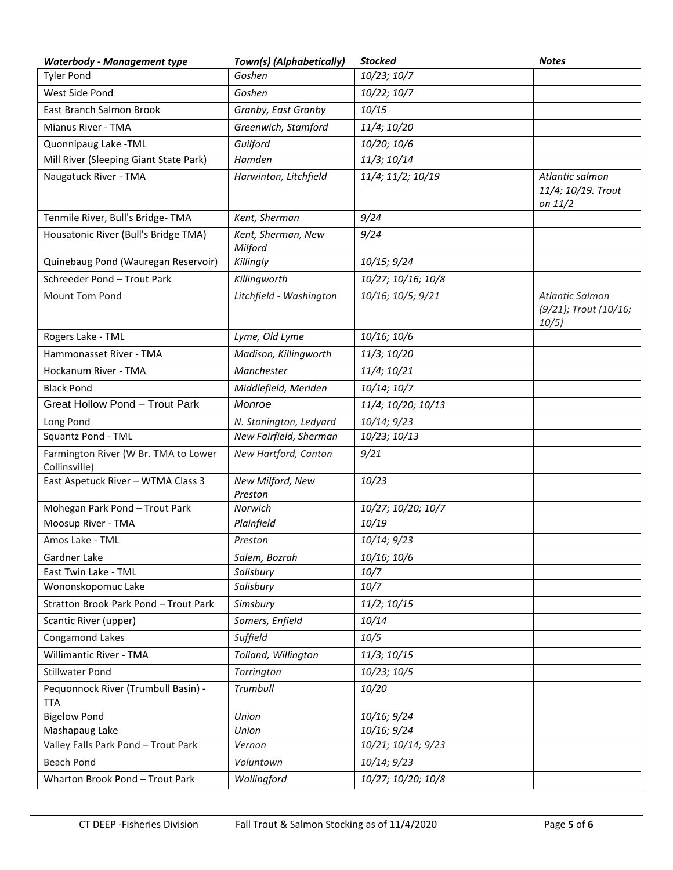| <b>Waterbody - Management type</b>                    | Town(s) (Alphabetically)      | <b>Stocked</b>     | <b>Notes</b>                                             |
|-------------------------------------------------------|-------------------------------|--------------------|----------------------------------------------------------|
| <b>Tyler Pond</b>                                     | Goshen                        | 10/23; 10/7        |                                                          |
| West Side Pond                                        | Goshen                        | 10/22; 10/7        |                                                          |
| East Branch Salmon Brook                              | Granby, East Granby           | 10/15              |                                                          |
| Mianus River - TMA                                    | Greenwich, Stamford           | 11/4; 10/20        |                                                          |
| Quonnipaug Lake - TML                                 | Guilford                      | 10/20; 10/6        |                                                          |
| Mill River (Sleeping Giant State Park)                | Hamden                        | 11/3; 10/14        |                                                          |
| Naugatuck River - TMA                                 | Harwinton, Litchfield         | 11/4; 11/2; 10/19  | Atlantic salmon<br>11/4; 10/19. Trout<br>on 11/2         |
| Tenmile River, Bull's Bridge-TMA                      | Kent, Sherman                 | 9/24               |                                                          |
| Housatonic River (Bull's Bridge TMA)                  | Kent, Sherman, New<br>Milford | 9/24               |                                                          |
| Quinebaug Pond (Wauregan Reservoir)                   | Killingly                     | 10/15; 9/24        |                                                          |
| Schreeder Pond - Trout Park                           | Killingworth                  | 10/27; 10/16; 10/8 |                                                          |
| <b>Mount Tom Pond</b>                                 | Litchfield - Washington       | 10/16; 10/5; 9/21  | <b>Atlantic Salmon</b><br>(9/21); Trout (10/16;<br>10/5) |
| Rogers Lake - TML                                     | Lyme, Old Lyme                | 10/16; 10/6        |                                                          |
| Hammonasset River - TMA                               | Madison, Killingworth         | 11/3; 10/20        |                                                          |
| Hockanum River - TMA                                  | Manchester                    | 11/4; 10/21        |                                                          |
| <b>Black Pond</b>                                     | Middlefield, Meriden          | 10/14; 10/7        |                                                          |
| <b>Great Hollow Pond - Trout Park</b>                 | Monroe                        | 11/4; 10/20; 10/13 |                                                          |
| Long Pond                                             | N. Stonington, Ledyard        | 10/14; 9/23        |                                                          |
| Squantz Pond - TML                                    | New Fairfield, Sherman        | 10/23; 10/13       |                                                          |
| Farmington River (W Br. TMA to Lower<br>Collinsville) | New Hartford, Canton          | 9/21               |                                                          |
| East Aspetuck River - WTMA Class 3                    | New Milford, New<br>Preston   | 10/23              |                                                          |
| Mohegan Park Pond - Trout Park                        | Norwich                       | 10/27; 10/20; 10/7 |                                                          |
| Moosup River - TMA                                    | Plainfield                    | 10/19              |                                                          |
| Amos Lake - TML                                       | Preston                       | 10/14; 9/23        |                                                          |
| Gardner Lake                                          | Salem, Bozrah                 | 10/16; 10/6        |                                                          |
| East Twin Lake - TML                                  | Salisbury                     | 10/7               |                                                          |
| Wononskopomuc Lake                                    | Salisbury                     | 10/7               |                                                          |
| Stratton Brook Park Pond - Trout Park                 | Simsbury                      | 11/2; 10/15        |                                                          |
| Scantic River (upper)                                 | Somers, Enfield               | 10/14              |                                                          |
| Congamond Lakes                                       | Suffield                      | 10/5               |                                                          |
| <b>Willimantic River - TMA</b>                        | Tolland, Willington           | 11/3; 10/15        |                                                          |
| <b>Stillwater Pond</b>                                | Torrington                    | 10/23; 10/5        |                                                          |
| Pequonnock River (Trumbull Basin) -<br><b>TTA</b>     | Trumbull                      | 10/20              |                                                          |
| <b>Bigelow Pond</b>                                   | Union                         | 10/16; 9/24        |                                                          |
| Mashapaug Lake                                        | Union                         | 10/16; 9/24        |                                                          |
| Valley Falls Park Pond - Trout Park                   | Vernon                        | 10/21; 10/14; 9/23 |                                                          |
| <b>Beach Pond</b>                                     | Voluntown                     | 10/14; 9/23        |                                                          |
| Wharton Brook Pond - Trout Park                       | Wallingford                   | 10/27; 10/20; 10/8 |                                                          |